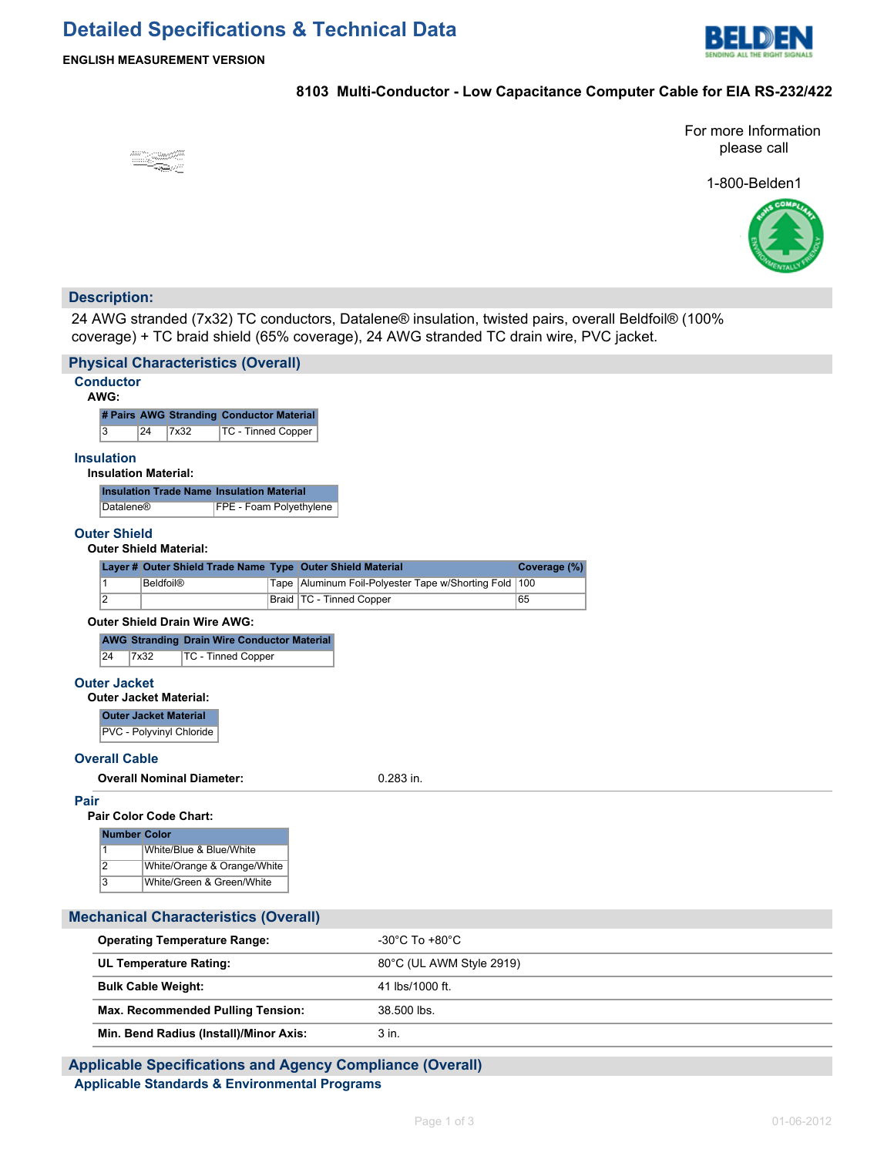# **Detailed Specifications & Technical Data**



#### **ENGLISH MEASUREMENT VERSION**

### **8103 Multi-Conductor - Low Capacitance Computer Cable for EIA RS-232/422**

For more Information please call

1-800-Belden1



## **Description:**

24 AWG stranded (7x32) TC conductors, Datalene® insulation, twisted pairs, overall Beldfoil® (100% coverage) + TC braid shield (65% coverage), 24 AWG stranded TC drain wire, PVC jacket.

| <b>Physical Characteristics (Overall)</b>     |                                                                            |  |                         |                             |  |                                                     |                          |     |  |  |  |
|-----------------------------------------------|----------------------------------------------------------------------------|--|-------------------------|-----------------------------|--|-----------------------------------------------------|--------------------------|-----|--|--|--|
|                                               | <b>Conductor</b><br>AWG:                                                   |  |                         |                             |  |                                                     |                          |     |  |  |  |
|                                               | # Pairs AWG Stranding Conductor Material                                   |  |                         |                             |  |                                                     |                          |     |  |  |  |
|                                               | 3<br>24<br>7x32<br><b>TC - Tinned Copper</b>                               |  |                         |                             |  |                                                     |                          |     |  |  |  |
|                                               | <b>Insulation</b>                                                          |  |                         |                             |  |                                                     |                          |     |  |  |  |
|                                               | <b>Insulation Material:</b>                                                |  |                         |                             |  |                                                     |                          |     |  |  |  |
|                                               | <b>Insulation Trade Name Insulation Material</b>                           |  |                         |                             |  |                                                     |                          |     |  |  |  |
|                                               | FPE - Foam Polyethylene<br><b>Datalene®</b>                                |  |                         |                             |  |                                                     |                          |     |  |  |  |
|                                               | <b>Outer Shield</b>                                                        |  |                         |                             |  |                                                     |                          |     |  |  |  |
| <b>Outer Shield Material:</b>                 |                                                                            |  |                         |                             |  |                                                     |                          |     |  |  |  |
|                                               | Layer # Outer Shield Trade Name Type Outer Shield Material<br>Coverage (%) |  |                         |                             |  |                                                     |                          |     |  |  |  |
|                                               | $\mathbf{1}$                                                               |  | <b>Beldfoil®</b>        |                             |  | Tape   Aluminum Foil-Polyester Tape w/Shorting Fold |                          | 100 |  |  |  |
|                                               | $\overline{2}$<br>Braid   TC - Tinned Copper                               |  |                         |                             |  | 65                                                  |                          |     |  |  |  |
|                                               | <b>Outer Shield Drain Wire AWG:</b>                                        |  |                         |                             |  |                                                     |                          |     |  |  |  |
|                                               | <b>AWG Stranding Drain Wire Conductor Material</b>                         |  |                         |                             |  |                                                     |                          |     |  |  |  |
|                                               | 24<br><b>TC - Tinned Copper</b><br>7x32                                    |  |                         |                             |  |                                                     |                          |     |  |  |  |
|                                               | <b>Outer Jacket</b>                                                        |  |                         |                             |  |                                                     |                          |     |  |  |  |
| <b>Outer Jacket Material:</b>                 |                                                                            |  |                         |                             |  |                                                     |                          |     |  |  |  |
|                                               | <b>Outer Jacket Material</b>                                               |  |                         |                             |  |                                                     |                          |     |  |  |  |
|                                               | PVC - Polyvinyl Chloride                                                   |  |                         |                             |  |                                                     |                          |     |  |  |  |
|                                               | <b>Overall Cable</b>                                                       |  |                         |                             |  |                                                     |                          |     |  |  |  |
| <b>Overall Nominal Diameter:</b><br>0.283 in. |                                                                            |  |                         |                             |  |                                                     |                          |     |  |  |  |
| Pair                                          |                                                                            |  |                         |                             |  |                                                     |                          |     |  |  |  |
|                                               |                                                                            |  | Pair Color Code Chart:  |                             |  |                                                     |                          |     |  |  |  |
|                                               | <b>Number Color</b>                                                        |  |                         |                             |  |                                                     |                          |     |  |  |  |
|                                               | 1                                                                          |  | White/Blue & Blue/White |                             |  |                                                     |                          |     |  |  |  |
|                                               | $\overline{2}$                                                             |  |                         | White/Orange & Orange/White |  |                                                     |                          |     |  |  |  |
|                                               | 3                                                                          |  |                         | White/Green & Green/White   |  |                                                     |                          |     |  |  |  |
|                                               | <b>Mechanical Characteristics (Overall)</b>                                |  |                         |                             |  |                                                     |                          |     |  |  |  |
|                                               |                                                                            |  |                         |                             |  |                                                     |                          |     |  |  |  |
| <b>Operating Temperature Range:</b>           |                                                                            |  |                         |                             |  | $-30^{\circ}$ C To $+80^{\circ}$ C                  |                          |     |  |  |  |
|                                               | <b>UL Temperature Rating:</b>                                              |  |                         |                             |  |                                                     | 80°C (UL AWM Style 2919) |     |  |  |  |
|                                               | <b>Bulk Cable Weight:</b>                                                  |  |                         |                             |  |                                                     | 41 lbs/1000 ft.          |     |  |  |  |
|                                               | <b>Max. Recommended Pulling Tension:</b>                                   |  |                         |                             |  | 38.500 lbs.                                         |                          |     |  |  |  |

## **Applicable Specifications and Agency Compliance (Overall) Applicable Standards & Environmental Programs**

**Min. Bend Radius (Install)/Minor Axis:** 3 in.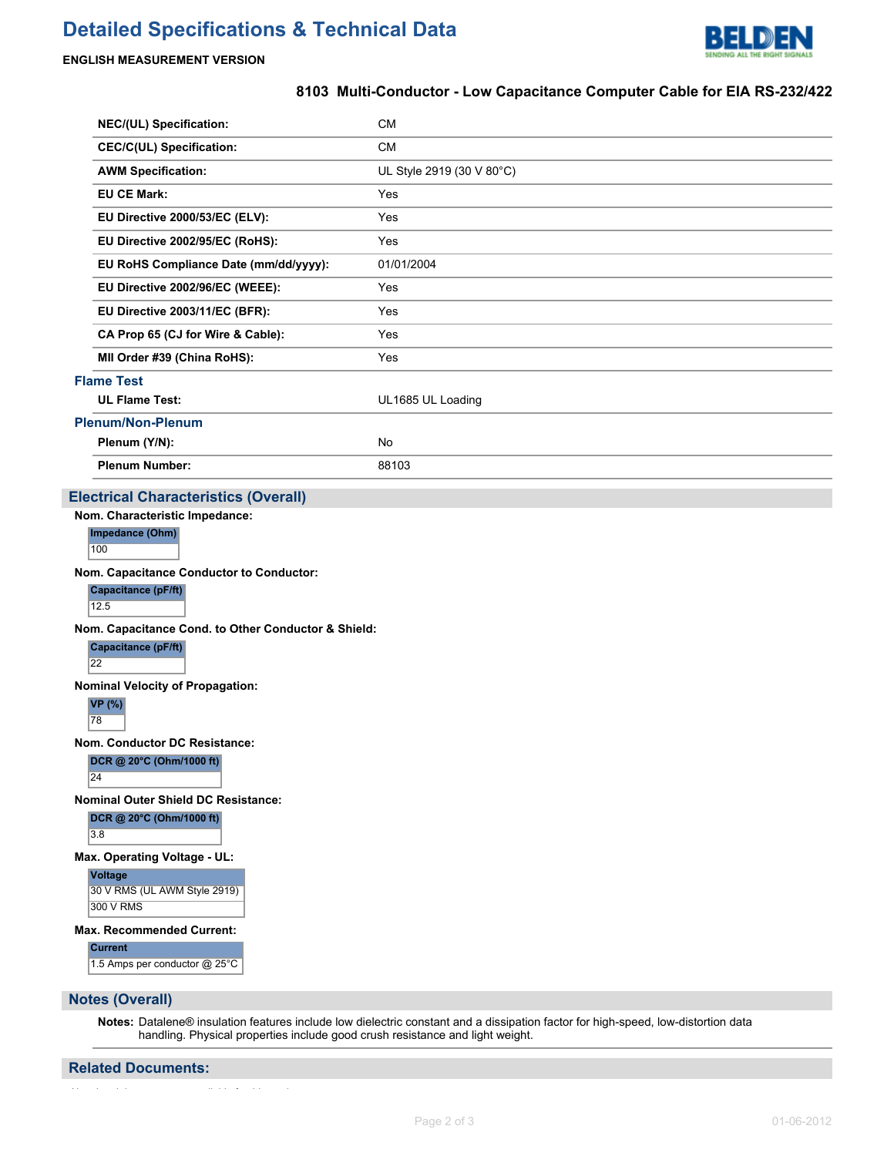

#### **ENGLISH MEASUREMENT VERSION**

#### **8103 Multi-Conductor - Low Capacitance Computer Cable for EIA RS-232/422**

| NEC/(UL) Specification:               | <b>CM</b>                 |  |  |  |  |
|---------------------------------------|---------------------------|--|--|--|--|
| <b>CEC/C(UL) Specification:</b>       | <b>CM</b>                 |  |  |  |  |
| <b>AWM Specification:</b>             | UL Style 2919 (30 V 80°C) |  |  |  |  |
| <b>EU CE Mark:</b>                    | Yes                       |  |  |  |  |
| EU Directive 2000/53/EC (ELV):        | Yes                       |  |  |  |  |
| EU Directive 2002/95/EC (RoHS):       | Yes                       |  |  |  |  |
| EU RoHS Compliance Date (mm/dd/yyyy): | 01/01/2004                |  |  |  |  |
| EU Directive 2002/96/EC (WEEE):       | Yes                       |  |  |  |  |
| EU Directive 2003/11/EC (BFR):        | Yes                       |  |  |  |  |
| CA Prop 65 (CJ for Wire & Cable):     | Yes                       |  |  |  |  |
| MII Order #39 (China RoHS):           | Yes                       |  |  |  |  |
| <b>Flame Test</b>                     |                           |  |  |  |  |
| <b>UL Flame Test:</b>                 | UL1685 UL Loading         |  |  |  |  |
| <b>Plenum/Non-Plenum</b>              |                           |  |  |  |  |
| Plenum (Y/N):                         | No                        |  |  |  |  |
| <b>Plenum Number:</b>                 | 88103                     |  |  |  |  |

#### **Electrical Characteristics (Overall)**

**Nom. Characteristic Impedance:**

**Impedance (Ohm)** 100

**Nom. Capacitance Conductor to Conductor:**

**Capacitance (pF/ft)**

12.5

**Nom. Capacitance Cond. to Other Conductor & Shield:**

**Capacitance (pF/ft)**

22

**Nominal Velocity of Propagation:**

**VP (%)** 78

**Nom. Conductor DC Resistance:**

**DCR @ 20°C (Ohm/1000 ft)**

24

**Nominal Outer Shield DC Resistance:**

**DCR @ 20°C (Ohm/1000 ft)**

3.8

**Max. Operating Voltage - UL:**

**Voltage** 30 V RMS (UL AWM Style 2919) 300 V RMS

**Max. Recommended Current:**

**Current**

1.5 Amps per conductor @ 25°C

**Notes (Overall)**

**Notes:** Datalene® insulation features include low dielectric constant and a dissipation factor for high-speed, low-distortion data handling. Physical properties include good crush resistance and light weight.

#### **Related Documents:**